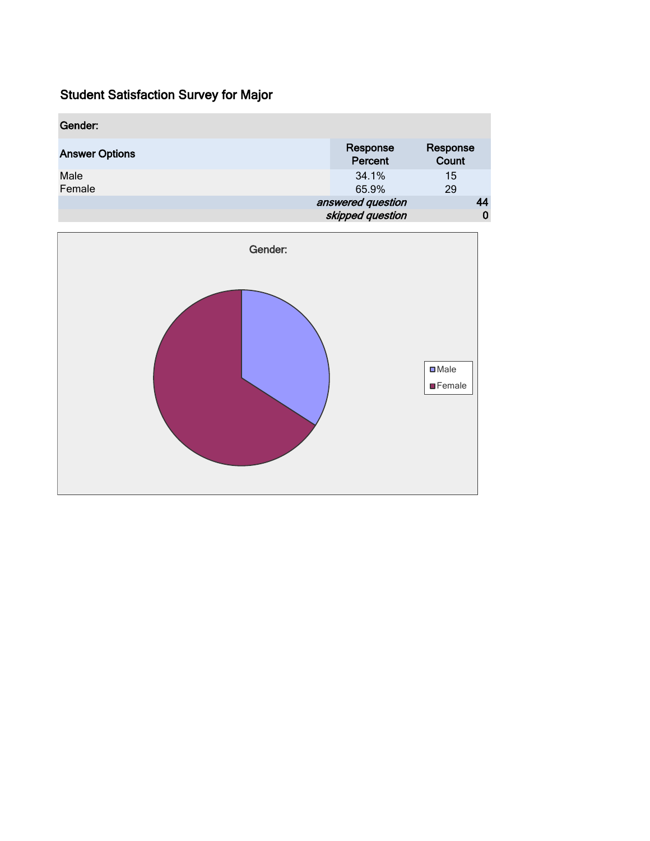| Gender:               |                     |                   |
|-----------------------|---------------------|-------------------|
| <b>Answer Options</b> | Response<br>Percent | Response<br>Count |
| Male<br>Female        | 34.1%<br>65.9%      | 15<br>29          |
|                       | answered question   | 44                |
|                       | skipped question    | 0                 |

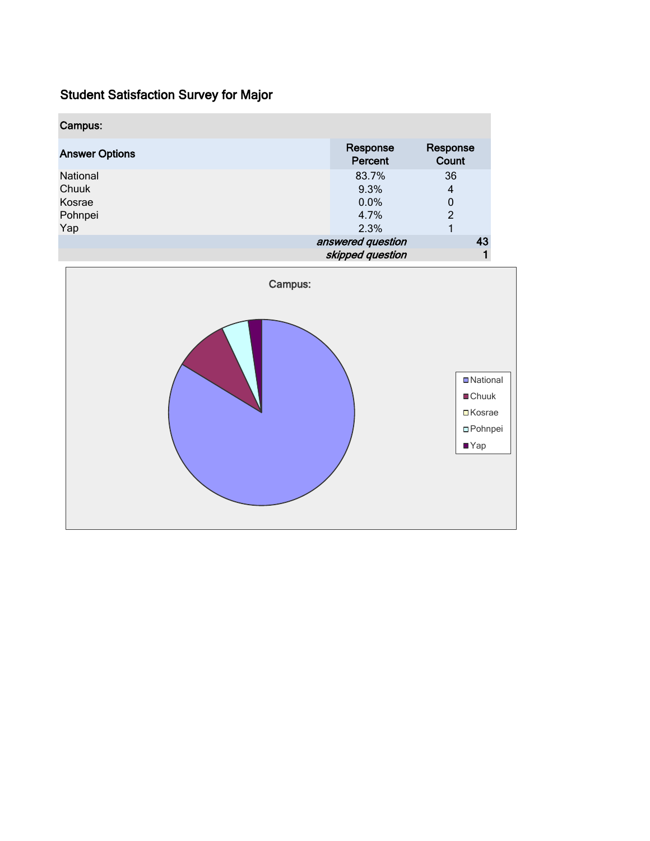| Campus:               |                     |                   |    |
|-----------------------|---------------------|-------------------|----|
| <b>Answer Options</b> | Response<br>Percent | Response<br>Count |    |
| National              | 83.7%               | 36                |    |
| Chuuk                 | 9.3%                | 4                 |    |
| Kosrae                | 0.0%                | 0                 |    |
| Pohnpei               | 4.7%                | $\overline{c}$    |    |
| Yap                   | 2.3%                |                   |    |
|                       | answered question   |                   | 43 |
|                       | skipped question    |                   |    |

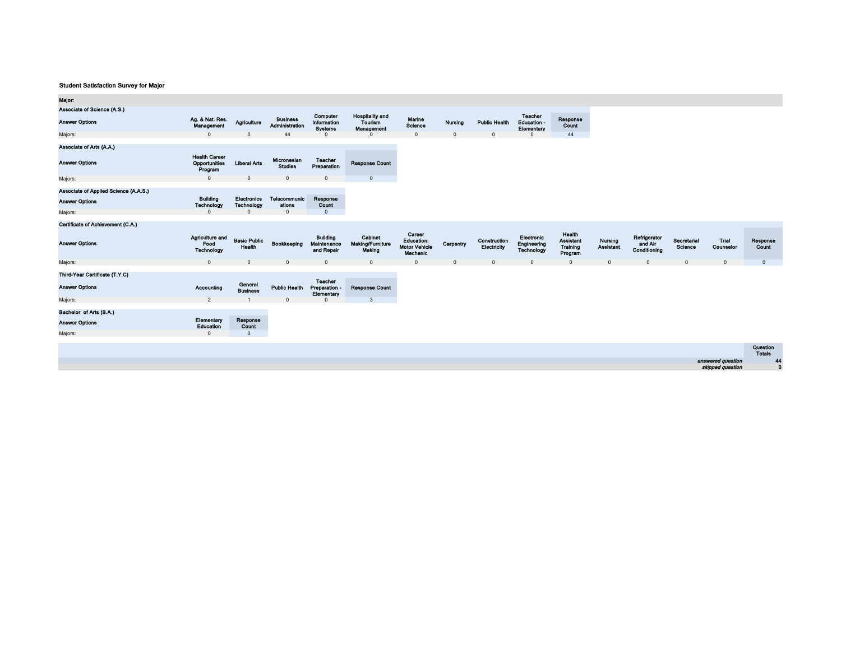| Major:                                |                                                  |                                         |                                   |                                               |                                                        |                                                                 |                |                             |                                             |                                            |                             |                                         |                               |                    |                           |
|---------------------------------------|--------------------------------------------------|-----------------------------------------|-----------------------------------|-----------------------------------------------|--------------------------------------------------------|-----------------------------------------------------------------|----------------|-----------------------------|---------------------------------------------|--------------------------------------------|-----------------------------|-----------------------------------------|-------------------------------|--------------------|---------------------------|
| Associate of Science (A.S.)           |                                                  |                                         |                                   |                                               |                                                        |                                                                 |                |                             |                                             |                                            |                             |                                         |                               |                    |                           |
| <b>Answer Options</b>                 | Ag. & Nat. Res.<br>Management                    | Agriculture                             | <b>Business</b><br>Administration | Computer<br>Information<br><b>Systems</b>     | <b>Hospitality and</b><br><b>Tourism</b><br>Management | Marine<br>Science                                               | <b>Nursing</b> | <b>Public Health</b>        | <b>Teacher</b><br>Education -<br>Elementary | Response<br>Count                          |                             |                                         |                               |                    |                           |
| Majors:                               | $\Omega$                                         | $\Omega$                                | 44                                | $\Omega$                                      | $\Omega$                                               | $\mathbf{0}$                                                    | $\Omega$       | $\Omega$                    | $\Omega$                                    | 44                                         |                             |                                         |                               |                    |                           |
| Associate of Arts (A.A.)              |                                                  |                                         |                                   |                                               |                                                        |                                                                 |                |                             |                                             |                                            |                             |                                         |                               |                    |                           |
| <b>Answer Options</b>                 | <b>Health Career</b><br>Opportunities<br>Program | <b>Liberal Arts</b>                     | Micronesian<br><b>Studies</b>     | <b>Teacher</b><br>Preparation                 | <b>Response Count</b>                                  |                                                                 |                |                             |                                             |                                            |                             |                                         |                               |                    |                           |
| Majors:                               | $\mathbf{0}$                                     | $\Omega$                                | $\Omega$                          | $\Omega$                                      | $\mathbf{0}$                                           |                                                                 |                |                             |                                             |                                            |                             |                                         |                               |                    |                           |
| Associate of Applied Science (A.A.S.) |                                                  |                                         |                                   |                                               |                                                        |                                                                 |                |                             |                                             |                                            |                             |                                         |                               |                    |                           |
| <b>Answer Options</b>                 | <b>Building</b><br>Technology                    | <b>Electronics</b><br><b>Technology</b> | Telecommunic<br>ations            | Response<br>Count                             |                                                        |                                                                 |                |                             |                                             |                                            |                             |                                         |                               |                    |                           |
| Majors:                               | $\Omega$                                         | $\Omega$                                | $\mathbf{0}$                      | $\mathbf{0}$                                  |                                                        |                                                                 |                |                             |                                             |                                            |                             |                                         |                               |                    |                           |
| Certificate of Achievement (C.A.)     |                                                  |                                         |                                   |                                               |                                                        |                                                                 |                |                             |                                             |                                            |                             |                                         |                               |                    |                           |
| <b>Answer Options</b>                 | Agriculture and<br>Food<br>Technology            | <b>Basic Public</b><br>Health           | Bookkeeping                       | <b>Building</b><br>Maintenance<br>and Repair  | Cabinot<br><b>Making/Furniture</b><br>Making           | Career<br><b>Education:</b><br><b>Motor Vehicle</b><br>Mechanic | Carpentry      | Construction<br>Electricity | Electronic<br>Engineering<br>Technology     | Health<br>Assistant<br>Training<br>Program | Nursing<br><b>Assistant</b> | Refrigerator<br>and Air<br>Conditioning | Secretarial<br><b>Science</b> | Trial<br>Counselor | Response<br>Count         |
| Majors:                               | $\overline{0}$                                   | $\Omega$                                | $\Omega$                          | $\Omega$                                      | $\mathbf{0}$                                           | $\Omega$                                                        | $\Omega$       |                             | $\Omega$                                    | $\Omega$                                   |                             | $\Omega$                                |                               | $\Omega$           | $\mathbf{0}$              |
| Third-Year Certificate (T.Y.C)        |                                                  |                                         |                                   |                                               |                                                        |                                                                 |                |                             |                                             |                                            |                             |                                         |                               |                    |                           |
| <b>Answer Options</b>                 | Accounting                                       | General<br><b>Business</b>              | <b>Public Health</b>              | <b>Teacher</b><br>Preparation -<br>Elementary | <b>Response Count</b>                                  |                                                                 |                |                             |                                             |                                            |                             |                                         |                               |                    |                           |
| Majors:                               | $\overline{2}$                                   |                                         | $\Omega$                          | $\Omega$                                      | $\overline{3}$                                         |                                                                 |                |                             |                                             |                                            |                             |                                         |                               |                    |                           |
| Bachelor of Arts (B.A.)               |                                                  |                                         |                                   |                                               |                                                        |                                                                 |                |                             |                                             |                                            |                             |                                         |                               |                    |                           |
| <b>Answer Options</b>                 | Elementary<br>Education                          | Response<br>Count                       |                                   |                                               |                                                        |                                                                 |                |                             |                                             |                                            |                             |                                         |                               |                    |                           |
| Majors:                               | $\Omega$                                         | $\Omega$                                |                                   |                                               |                                                        |                                                                 |                |                             |                                             |                                            |                             |                                         |                               |                    |                           |
|                                       |                                                  |                                         |                                   |                                               |                                                        |                                                                 |                |                             |                                             |                                            |                             |                                         |                               |                    | Question<br><b>Totals</b> |
|                                       |                                                  |                                         |                                   |                                               |                                                        |                                                                 |                |                             |                                             |                                            |                             |                                         |                               | answered question  | $\overline{4}$            |
|                                       |                                                  |                                         |                                   |                                               |                                                        |                                                                 |                |                             |                                             |                                            |                             |                                         |                               | skipped question   | $\mathbf{0}$              |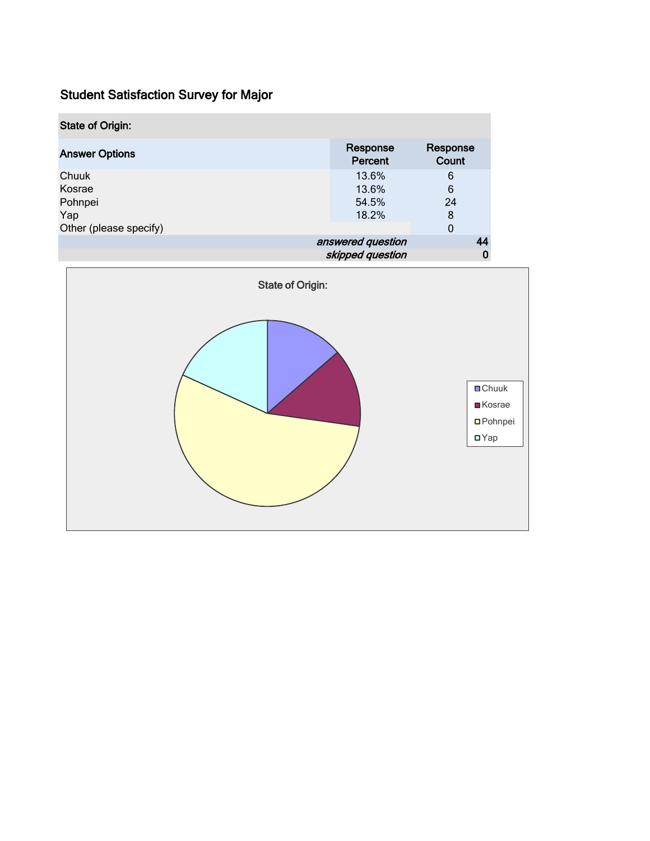| <b>State of Origin:</b> |                     |                   |
|-------------------------|---------------------|-------------------|
| <b>Answer Options</b>   | Response<br>Percent | Response<br>Count |
| Chuuk                   | 13.6%               | 6                 |
| Kosrae                  | 13.6%               | 6                 |
| Pohnpei                 | 54.5%               | 24                |
| Yap                     | 18.2%               | 8                 |
| Other (please specify)  |                     | 0                 |
|                         | answered question   | 44                |
|                         | skipped question    | 0                 |